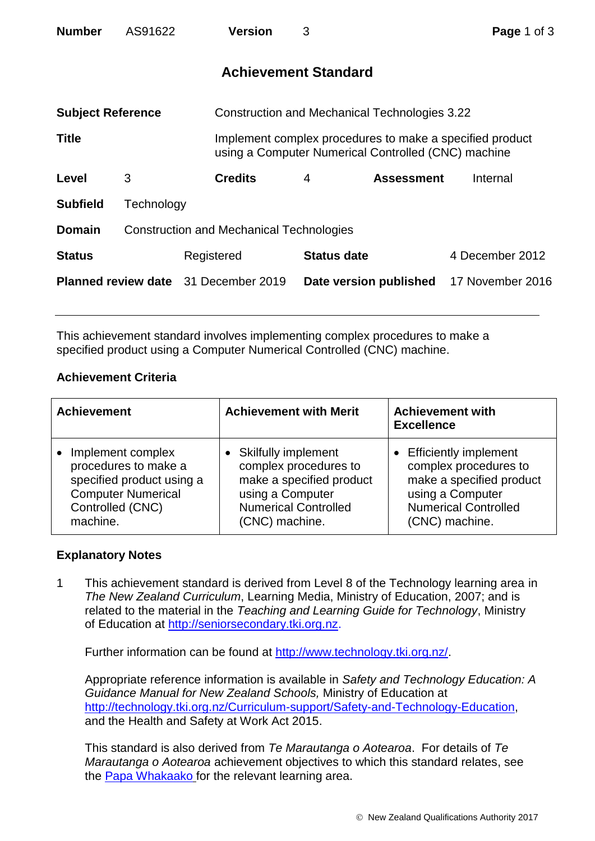| <b>Number</b>                               | AS91622                                         |            | <b>Version</b>                                | 3 |                                                                                                                 | Page 1 of 3      |  |
|---------------------------------------------|-------------------------------------------------|------------|-----------------------------------------------|---|-----------------------------------------------------------------------------------------------------------------|------------------|--|
|                                             |                                                 |            | <b>Achievement Standard</b>                   |   |                                                                                                                 |                  |  |
| <b>Subject Reference</b>                    |                                                 |            | Construction and Mechanical Technologies 3.22 |   |                                                                                                                 |                  |  |
| <b>Title</b>                                |                                                 |            |                                               |   | Implement complex procedures to make a specified product<br>using a Computer Numerical Controlled (CNC) machine |                  |  |
| Level                                       | 3                                               |            | <b>Credits</b>                                | 4 | <b>Assessment</b>                                                                                               | Internal         |  |
| <b>Subfield</b>                             | Technology                                      |            |                                               |   |                                                                                                                 |                  |  |
| <b>Domain</b>                               | <b>Construction and Mechanical Technologies</b> |            |                                               |   |                                                                                                                 |                  |  |
| <b>Status</b>                               |                                                 | Registered |                                               |   | <b>Status date</b>                                                                                              | 4 December 2012  |  |
| <b>Planned review date</b> 31 December 2019 |                                                 |            |                                               |   | Date version published                                                                                          | 17 November 2016 |  |

This achievement standard involves implementing complex procedures to make a specified product using a Computer Numerical Controlled (CNC) machine.

## **Achievement Criteria**

| <b>Achievement</b>        | <b>Achievement with Merit</b> | <b>Achievement with</b><br><b>Excellence</b> |
|---------------------------|-------------------------------|----------------------------------------------|
| Implement complex         | <b>Skilfully implement</b>    | <b>Efficiently implement</b>                 |
| procedures to make a      | complex procedures to         | complex procedures to                        |
| specified product using a | make a specified product      | make a specified product                     |
| <b>Computer Numerical</b> | using a Computer              | using a Computer                             |
| Controlled (CNC)          | <b>Numerical Controlled</b>   | <b>Numerical Controlled</b>                  |
| machine.                  | (CNC) machine.                | (CNC) machine.                               |

## **Explanatory Notes**

1 This achievement standard is derived from Level 8 of the Technology learning area in *The New Zealand Curriculum*, Learning Media, Ministry of Education, 2007; and is related to the material in the *Teaching and Learning Guide for Technology*, Ministry of Education at [http://seniorsecondary.tki.org.nz.](http://seniorsecondary.tki.org.nz/)

Further information can be found at [http://www.technology.tki.org.nz/.](http://www.technology.tki.org.nz/)

Appropriate reference information is available in *Safety and Technology Education: A Guidance Manual for New Zealand Schools,* Ministry of Education at [http://technology.tki.org.nz/Curriculum-support/Safety-and-Technology-Education,](http://technology.tki.org.nz/Curriculum-support/Safety-and-Technology-Education) and the Health and Safety at Work Act 2015.

This standard is also derived from *Te Marautanga o Aotearoa*. For details of *Te Marautanga o Aotearoa* achievement objectives to which this standard relates, see the [Papa Whakaako](http://tmoa.tki.org.nz/Te-Marautanga-o-Aotearoa/Taumata-Matauranga-a-Motu-Ka-Taea) for the relevant learning area.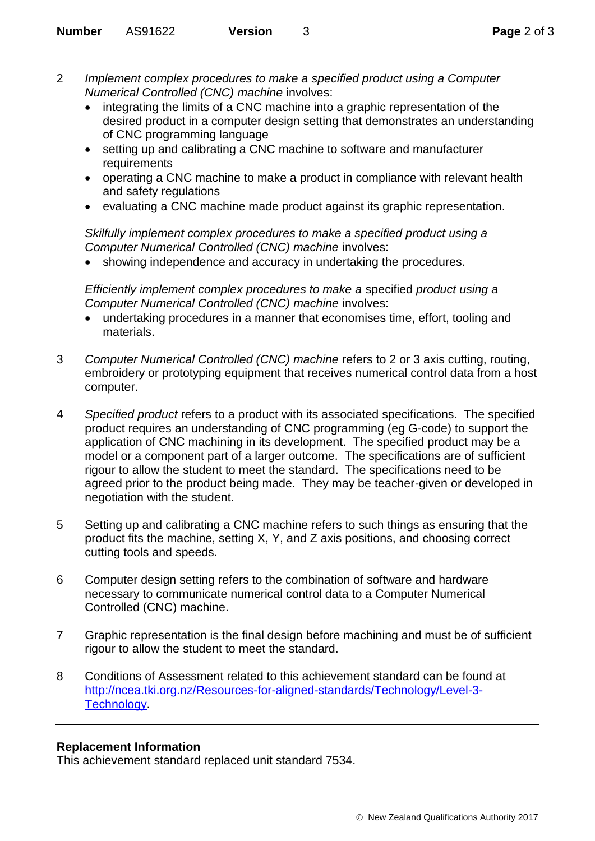- 2 *Implement complex procedures to make a specified product using a Computer Numerical Controlled (CNC) machine* involves:
	- integrating the limits of a CNC machine into a graphic representation of the desired product in a computer design setting that demonstrates an understanding of CNC programming language
	- setting up and calibrating a CNC machine to software and manufacturer requirements
	- operating a CNC machine to make a product in compliance with relevant health and safety regulations
	- evaluating a CNC machine made product against its graphic representation.

*Skilfully implement complex procedures to make a specified product using a Computer Numerical Controlled (CNC) machine* involves:

• showing independence and accuracy in undertaking the procedures.

*Efficiently implement complex procedures to make a* specified *product using a Computer Numerical Controlled (CNC) machine* involves:

- undertaking procedures in a manner that economises time, effort, tooling and materials.
- 3 *Computer Numerical Controlled (CNC) machine* refers to 2 or 3 axis cutting, routing, embroidery or prototyping equipment that receives numerical control data from a host computer.
- 4 *Specified product* refers to a product with its associated specifications. The specified product requires an understanding of CNC programming (eg G-code) to support the application of CNC machining in its development. The specified product may be a model or a component part of a larger outcome. The specifications are of sufficient rigour to allow the student to meet the standard. The specifications need to be agreed prior to the product being made. They may be teacher-given or developed in negotiation with the student.
- 5 Setting up and calibrating a CNC machine refers to such things as ensuring that the product fits the machine, setting X, Y, and Z axis positions, and choosing correct cutting tools and speeds.
- 6 Computer design setting refers to the combination of software and hardware necessary to communicate numerical control data to a Computer Numerical Controlled (CNC) machine.
- 7 Graphic representation is the final design before machining and must be of sufficient rigour to allow the student to meet the standard.
- 8 Conditions of Assessment related to this achievement standard can be found at [http://ncea.tki.org.nz/Resources-for-aligned-standards/Technology/Level-3-](http://ncea.tki.org.nz/Resources-for-aligned-standards/Technology/Level-3-Technology) [Technology.](http://ncea.tki.org.nz/Resources-for-aligned-standards/Technology/Level-3-Technology)

## **Replacement Information**

This achievement standard replaced unit standard 7534.